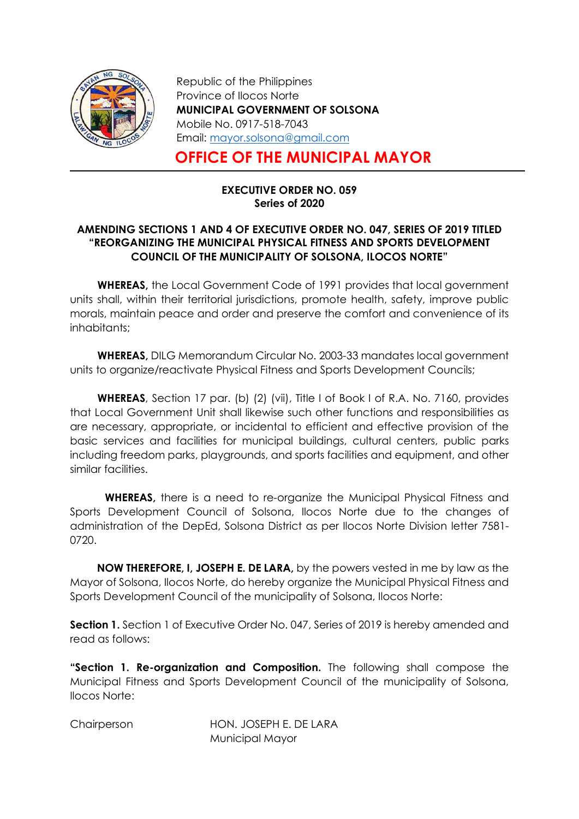

Republic of the Philippines Province of Ilocos Norte MUNICIPAL GOVERNMENT OF SOLSONA Mobile No. 0917-518-7043 Email: mayor.solsona@gmail.com

## OFFICE OF THE MUNICIPAL MAYOR

## EXECUTIVE ORDER NO. 059 Series of 2020

## AMENDING SECTIONS 1 AND 4 OF EXECUTIVE ORDER NO. 047, SERIES OF 2019 TITLED "REORGANIZING THE MUNICIPAL PHYSICAL FITNESS AND SPORTS DEVELOPMENT COUNCIL OF THE MUNICIPALITY OF SOLSONA, ILOCOS NORTE"

WHEREAS, the Local Government Code of 1991 provides that local government units shall, within their territorial jurisdictions, promote health, safety, improve public morals, maintain peace and order and preserve the comfort and convenience of its inhabitants;

WHEREAS, DILG Memorandum Circular No. 2003-33 mandates local government units to organize/reactivate Physical Fitness and Sports Development Councils;

WHEREAS, Section 17 par. (b) (2) (vii), Title I of Book I of R.A. No. 7160, provides that Local Government Unit shall likewise such other functions and responsibilities as are necessary, appropriate, or incidental to efficient and effective provision of the basic services and facilities for municipal buildings, cultural centers, public parks including freedom parks, playgrounds, and sports facilities and equipment, and other similar facilities.

WHEREAS, there is a need to re-organize the Municipal Physical Fitness and Sports Development Council of Solsona, Ilocos Norte due to the changes of administration of the DepEd, Solsona District as per Ilocos Norte Division letter 7581- 0720.

 NOW THEREFORE, I, JOSEPH E. DE LARA, by the powers vested in me by law as the Mayor of Solsona, Ilocos Norte, do hereby organize the Municipal Physical Fitness and Sports Development Council of the municipality of Solsona, Ilocos Norte:

**Section 1.** Section 1 of Executive Order No. 047, Series of 2019 is hereby amended and read as follows:

"Section 1. Re-organization and Composition. The following shall compose the Municipal Fitness and Sports Development Council of the municipality of Solsona, Ilocos Norte:

Chairperson HON. JOSEPH E. DE LARA Municipal Mayor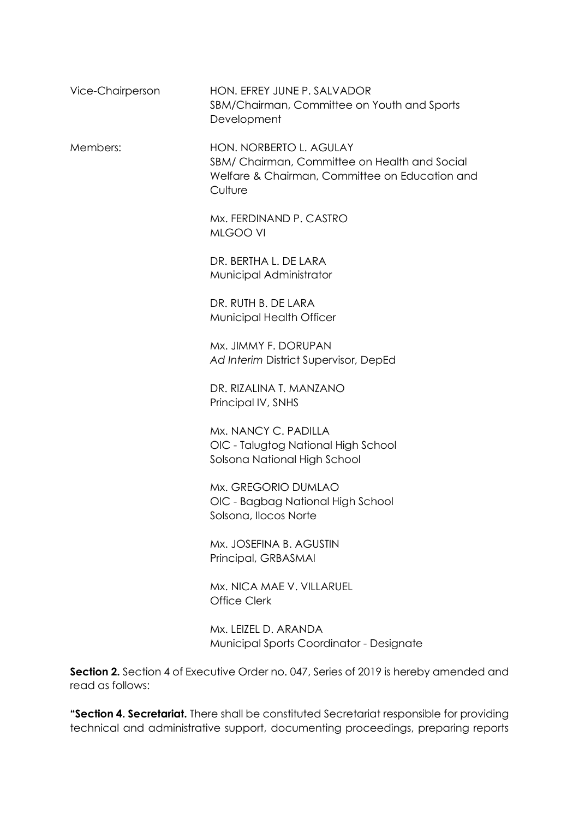| Vice-Chairperson | HON. EFREY JUNE P. SALVADOR<br>SBM/Chairman, Committee on Youth and Sports<br>Development                                             |
|------------------|---------------------------------------------------------------------------------------------------------------------------------------|
| Members:         | HON. NORBERTO L. AGULAY<br>SBM/ Chairman, Committee on Health and Social<br>Welfare & Chairman, Committee on Education and<br>Culture |
|                  | Mx. FERDINAND P. CASTRO<br>MLGOO VI                                                                                                   |
|                  | DR. BERTHA L. DE LARA<br>Municipal Administrator                                                                                      |
|                  | DR. RUTH B. DE LARA<br>Municipal Health Officer                                                                                       |
|                  | Mx. JIMMY F. DORUPAN<br>Ad Interim District Supervisor, DepEd                                                                         |
|                  | DR. RIZALINA T. MANZANO<br>Principal IV, SNHS                                                                                         |
|                  | Mx. NANCY C. PADILLA<br>OIC - Talugtog National High School<br>Solsona National High School                                           |
|                  | Mx. GREGORIO DUMLAO<br>OIC - Bagbag National High School<br>Solsona, Ilocos Norte                                                     |
|                  | Mx. JOSEFINA B. AGUSTIN<br>Principal, GRBASMAI                                                                                        |
|                  | Mx. NICA MAE V. VILLARUEL<br><b>Office Clerk</b>                                                                                      |
|                  |                                                                                                                                       |

Mx. LEIZEL D. ARANDA Municipal Sports Coordinator - Designate

Section 2. Section 4 of Executive Order no. 047, Series of 2019 is hereby amended and read as follows:

"Section 4. Secretariat. There shall be constituted Secretariat responsible for providing technical and administrative support, documenting proceedings, preparing reports